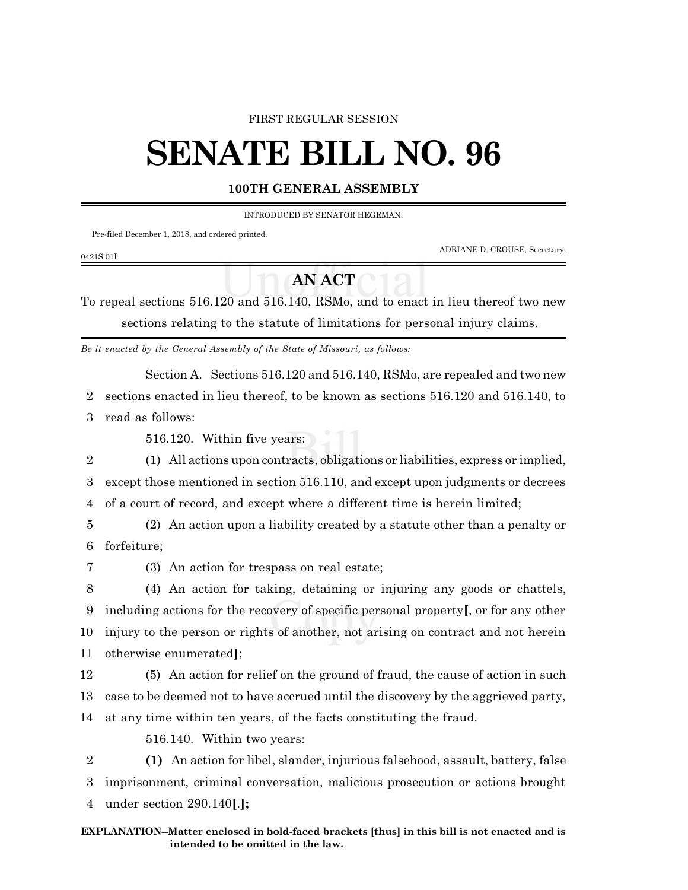#### FIRST REGULAR SESSION

# **SENATE BILL NO. 96**

#### **100TH GENERAL ASSEMBLY**

INTRODUCED BY SENATOR HEGEMAN.

Pre-filed December 1, 2018, and ordered printed.

ADRIANE D. CROUSE, Secretary.

### 0421S.01I

## **AN ACT**

To repeal sections 516.120 and 516.140, RSMo, and to enact in lieu thereof two new sections relating to the statute of limitations for personal injury claims.

*Be it enacted by the General Assembly of the State of Missouri, as follows:*

Section A. Sections 516.120 and 516.140, RSMo, are repealed and two new

2 sections enacted in lieu thereof, to be known as sections 516.120 and 516.140, to

3 read as follows:

516.120. Within five years:

2 (1) All actions upon contracts, obligations or liabilities, express or implied, 3 except those mentioned in section 516.110, and except upon judgments or decrees 4 of a court of record, and except where a different time is herein limited;

5 (2) An action upon a liability created by a statute other than a penalty or 6 forfeiture;

7 (3) An action for trespass on real estate;

 (4) An action for taking, detaining or injuring any goods or chattels, including actions for the recovery of specific personal property**[**, or for any other injury to the person or rights of another, not arising on contract and not herein otherwise enumerated**]**;

12 (5) An action for relief on the ground of fraud, the cause of action in such 13 case to be deemed not to have accrued until the discovery by the aggrieved party, 14 at any time within ten years, of the facts constituting the fraud.

516.140. Within two years:

2 **(1)** An action for libel, slander, injurious falsehood, assault, battery, false 3 imprisonment, criminal conversation, malicious prosecution or actions brought 4 under section 290.140**[**.**];**